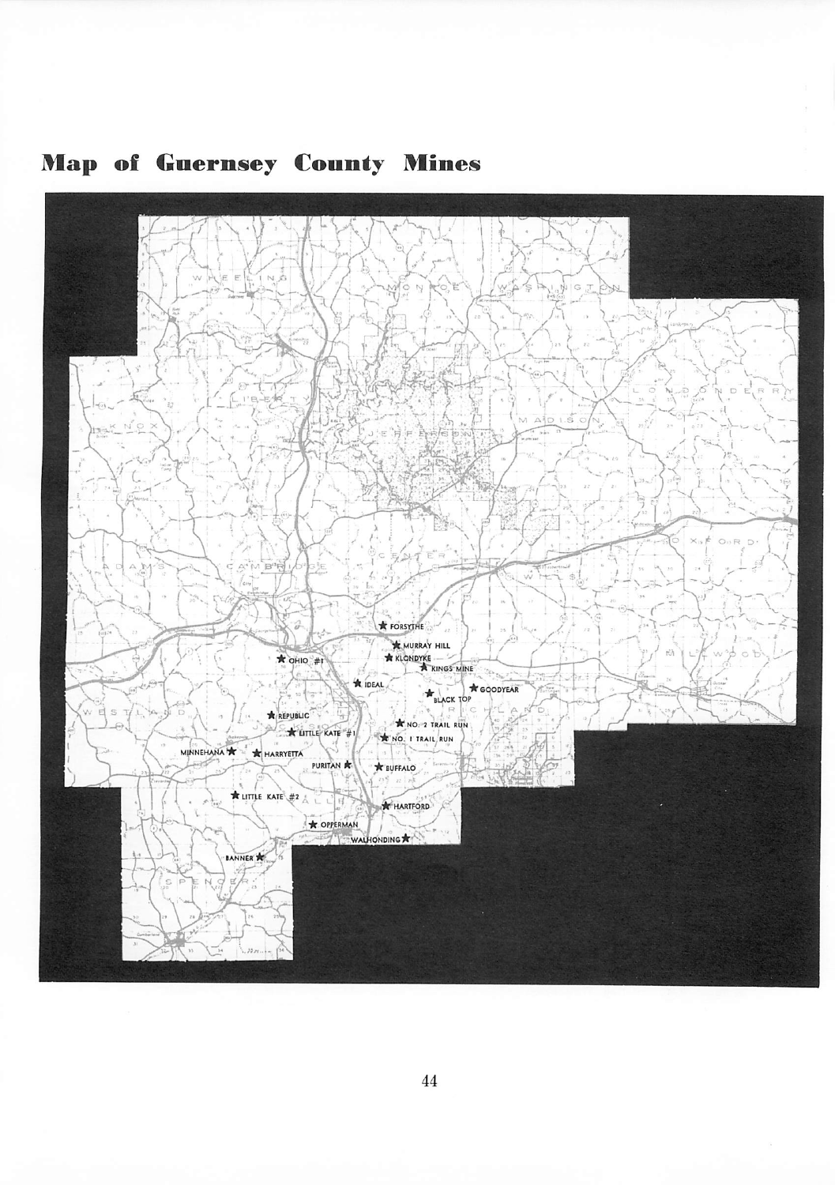

## **Map of Guernsey County Mines**